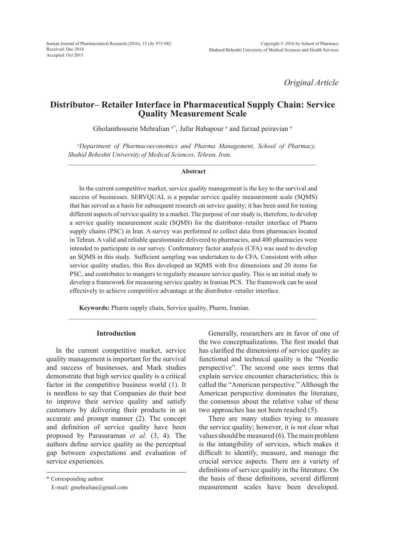*Original Article*

# **Distributor– Retailer Interface in Pharmaceutical Supply Chain: Service Quality Measurement Scale**

Gholamhossein Mehralian<sup>a\*</sup>, Jafar Babapour<sup>a</sup> and farzad peiravian<sup>a</sup>

*a Department of Pharmacoeconomics and Pharma Management, School of Pharmacy, Shahid Beheshti University of Medical Sciences, Tehran, Iran.*

#### **Abstract**

In the current competitive market, service quality management is the key to the survival and success of businesses. SERVQUAL is a popular service quality measurement scale (SQMS) that has served as a basis for subsequent research on service quality; it has been used for testing different aspects of service quality in a market. The purpose of our study is, therefore, to develop a service quality measurement scale (SQMS) for the distributor–retailer interface of Pharm supply chains (PSC) in Iran. A survey was performed to collect data from pharmacies located in Tehran. A valid and reliable questionnaire delivered to pharmacies, and 400 pharmacies were intended to participate in our survey. Confirmatory factor analysis (CFA) was used to develop an SQMS in this study. Sufficient sampling was undertaken to do CFA. Consistent with other service quality studies, this Res developed an SQMS with five dimensions and 20 items for PSC, and contributes to mangers to regularly measure service quality. This is an initial study to develop a framework for measuring service quality in Iranian PCS. The framework can be used effectively to achieve competitive advantage at the distributor–retailer interface.

**Keywords:** Pharm supply chain, Service quality, Pharm, Iranian.

### **Introduction**

In the current competitive market, service quality management is important for the survival and success of businesses, and Mark studies demonstrate that high service quality is a critical factor in the competitive business world (1). It is needless to say that Companies do their best to improve their service quality and satisfy customers by delivering their products in an accurate and prompt manner (2). The concept and definition of service quality have been proposed by Parasuraman *et al.* (3, 4). The authors define service quality as the perceptual gap between expectations and evaluation of service experiences.

\* Corresponding author:

E-mail: gmehralian@gmail.com

Generally, researchers are in favor of one of the two conceptualizations. The first model that has clarified the dimensions of service quality as functional and technical quality is the "Nordic perspective". The second one uses terms that explain service encounter characteristics; this is called the "American perspective." Although the American perspective dominates the literature, the consensus about the relative value of these two approaches has not been reached (5).

There are many studies trying to measure the service quality; however, it is not clear what values should be measured (6). The main problem is the intangibility of services, which makes it difficult to identify, measure, and manage the crucial service aspects. There are a variety of definitions of service quality in the literature. On the basis of these definitions, several different measurement scales have been developed.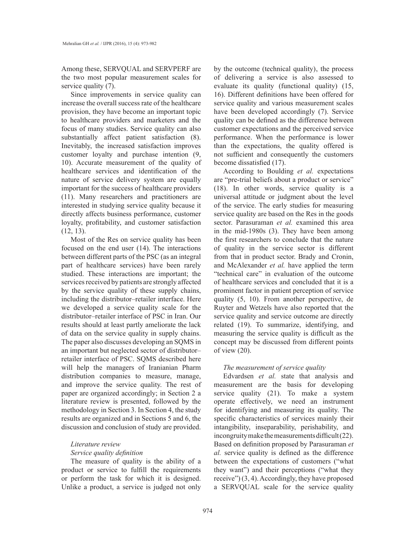Among these, SERVQUAL and SERVPERF are the two most popular measurement scales for service quality (7).

Since improvements in service quality can increase the overall success rate of the healthcare provision, they have become an important topic to healthcare providers and marketers and the focus of many studies. Service quality can also substantially affect patient satisfaction (8). Inevitably, the increased satisfaction improves customer loyalty and purchase intention (9, 10). Accurate measurement of the quality of healthcare services and identification of the nature of service delivery system are equally important for the success of healthcare providers (11). Many researchers and practitioners are interested in studying service quality because it directly affects business performance, customer loyalty, profitability, and customer satisfaction (12, 13).

Most of the Res on service quality has been focused on the end user (14). The interactions between different parts of the PSC (as an integral part of healthcare services) have been rarely studied. These interactions are important; the services received by patients are strongly affected by the service quality of these supply chains, including the distributor–retailer interface. Here we developed a service quality scale for the distributor–retailer interface of PSC in Iran. Our results should at least partly ameliorate the lack of data on the service quality in supply chains. The paper also discusses developing an SQMS in an important but neglected sector of distributor– retailer interface of PSC. SQMS described here will help the managers of Iranianian Pharm distribution companies to measure, manage, and improve the service quality. The rest of paper are organized accordingly; in Section 2 a literature review is presented, followed by the methodology in Section 3. In Section 4, the study results are organized and in Sections 5 and 6, the discussion and conclusion of study are provided.

#### *Literature review*

#### *Service quality definition*

The measure of quality is the ability of a product or service to fulfill the requirements or perform the task for which it is designed. Unlike a product, a service is judged not only by the outcome (technical quality), the process of delivering a service is also assessed to evaluate its quality (functional quality) (15, 16). Different definitions have been offered for service quality and various measurement scales have been developed accordingly (7). Service quality can be defined as the difference between customer expectations and the perceived service performance. When the performance is lower than the expectations, the quality offered is not sufficient and consequently the customers become dissatisfied (17).

According to Boulding *et al.* expectations are "pre-trial beliefs about a product or service" (18). In other words, service quality is a universal attitude or judgment about the level of the service. The early studies for measuring service quality are based on the Res in the goods sector. Parasuraman *et al.* examined this area in the mid-1980s (3). They have been among the first researchers to conclude that the nature of quality in the service sector is different from that in product sector. Brady and Cronin, and McAlexander *et al.* have applied the term "technical care" in evaluation of the outcome of healthcare services and concluded that it is a prominent factor in patient perception of service quality (5, 10). From another perspective, de Ruyter and Wetzels have also reported that the service quality and service outcome are directly related (19). To summarize, identifying, and measuring the service quality is difficult as the concept may be discussed from different points of view (20).

#### *The measurement of service quality*

Edvardsen *et al.* state that analysis and measurement are the basis for developing service quality (21). To make a system operate effectively, we need an instrument for identifying and measuring its quality. The specific characteristics of services mainly their intangibility, inseparability, perishability, and incongruity make the measurements difficult (22). Based on definition proposed by Parasuraman *et al.* service quality is defined as the difference between the expectations of customers ("what they want") and their perceptions ("what they receive") (3, 4). Accordingly, they have proposed a SERVQUAL scale for the service quality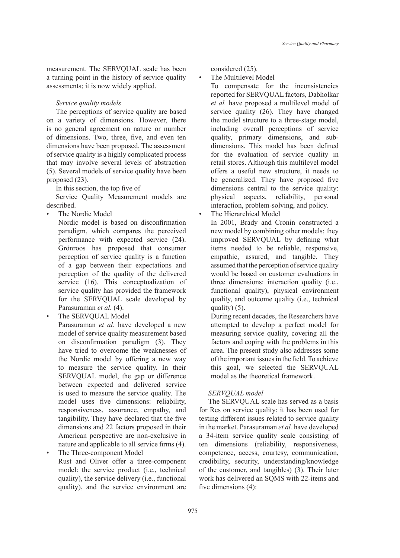measurement. The SERVQUAL scale has been a turning point in the history of service quality assessments; it is now widely applied.

#### *Service quality models*

The perceptions of service quality are based on a variety of dimensions. However, there is no general agreement on nature or number of dimensions. Two, three, five, and even ten dimensions have been proposed. The assessment of service quality is a highly complicated process that may involve several levels of abstraction (5). Several models of service quality have been proposed (23).

In this section, the top five of

Service Quality Measurement models are described.

- The Nordic Model
	- Nordic model is based on disconfirmation paradigm, which compares the perceived performance with expected service (24). Grönroos has proposed that consumer perception of service quality is a function of a gap between their expectations and perception of the quality of the delivered service (16). This conceptualization of service quality has provided the framework for the SERVQUAL scale developed by Parasuraman *et al.* (4).
- The SERVOUAL Model
	- Parasuraman *et al.* have developed a new model of service quality measurement based on disconfirmation paradigm (3). They have tried to overcome the weaknesses of the Nordic model by offering a new way to measure the service quality. In their SERVQUAL model, the gap or difference between expected and delivered service is used to measure the service quality. The model uses five dimensions: reliability, responsiveness, assurance, empathy, and tangibility. They have declared that the five dimensions and 22 factors proposed in their American perspective are non-exclusive in nature and applicable to all service firms (4). The Three-component Model
- Rust and Oliver offer a three-component model: the service product (i.e., technical quality), the service delivery (i.e., functional quality), and the service environment are

considered (25).

The Multilevel Model

To compensate for the inconsistencies reported for SERVQUAL factors, Dabholkar *et al.* have proposed a multilevel model of service quality (26). They have changed the model structure to a three-stage model, including overall perceptions of service quality, primary dimensions, and subdimensions. This model has been defined for the evaluation of service quality in retail stores. Although this multilevel model offers a useful new structure, it needs to be generalized. They have proposed five dimensions central to the service quality: physical aspects, reliability, personal interaction, problem-solving, and policy.

## The Hierarchical Model

In 2001, Brady and Cronin constructed a new model by combining other models; they improved SERVQUAL by defining what items needed to be reliable, responsive, empathic, assured, and tangible. They assumed that the perception of service quality would be based on customer evaluations in three dimensions: interaction quality (i.e., functional quality), physical environment quality, and outcome quality (i.e., technical quality) (5).

During recent decades, the Researchers have attempted to develop a perfect model for measuring service quality, covering all the factors and coping with the problems in this area. The present study also addresses some of the important issues in the field. To achieve this goal, we selected the SERVQUAL model as the theoretical framework.

## *SERVQUAL model*

The SERVQUAL scale has served as a basis for Res on service quality; it has been used for testing different issues related to service quality in the market. Parasuraman *et al.* have developed a 34-item service quality scale consisting of ten dimensions (reliability, responsiveness, competence, access, courtesy, communication, credibility, security, understanding/knowledge of the customer, and tangibles) (3). Their later work has delivered an SQMS with 22-items and five dimensions (4):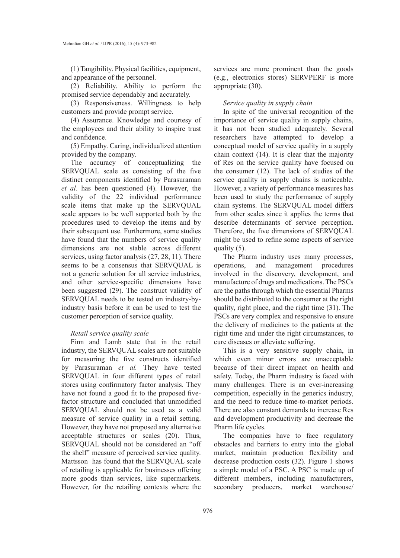(1) Tangibility. Physical facilities, equipment, and appearance of the personnel.

(2) Reliability. Ability to perform the promised service dependably and accurately.

(3) Responsiveness. Willingness to help customers and provide prompt service.

(4) Assurance. Knowledge and courtesy of the employees and their ability to inspire trust and confidence.

(5) Empathy. Caring, individualized attention provided by the company.

The accuracy of conceptualizing the SERVQUAL scale as consisting of the five distinct components identified by Parasuraman *et al*. has been questioned (4). However, the validity of the 22 individual performance scale items that make up the SERVQUAL scale appears to be well supported both by the procedures used to develop the items and by their subsequent use. Furthermore, some studies have found that the numbers of service quality dimensions are not stable across different services, using factor analysis (27, 28, 11). There seems to be a consensus that SERVQUAL is not a generic solution for all service industries, and other service-specific dimensions have been suggested (29). The construct validity of SERVQUAL needs to be tested on industry-byindustry basis before it can be used to test the customer perception of service quality.

### *Retail service quality scale*

Finn and Lamb state that in the retail industry, the SERVQUAL scales are not suitable for measuring the five constructs identified by Parasuraman *et al.* They have tested SERVQUAL in four different types of retail stores using confirmatory factor analysis. They have not found a good fit to the proposed fivefactor structure and concluded that unmodified SERVQUAL should not be used as a valid measure of service quality in a retail setting. However, they have not proposed any alternative acceptable structures or scales (20). Thus, SERVQUAL should not be considered an "off the shelf" measure of perceived service quality. Mattsson has found that the SERVQUAL scale of retailing is applicable for businesses offering more goods than services, like supermarkets. However, for the retailing contexts where the

services are more prominent than the goods (e.g., electronics stores) SERVPERF is more appropriate (30).

#### *Service quality in supply chain*

In spite of the universal recognition of the importance of service quality in supply chains, it has not been studied adequately. Several researchers have attempted to develop a conceptual model of service quality in a supply chain context (14). It is clear that the majority of Res on the service quality have focused on the consumer (12). The lack of studies of the service quality in supply chains is noticeable. However, a variety of performance measures has been used to study the performance of supply chain systems. The SERVQUAL model differs from other scales since it applies the terms that describe determinants of service perception. Therefore, the five dimensions of SERVQUAL might be used to refine some aspects of service quality (5).

The Pharm industry uses many processes, operations, and management procedures involved in the discovery, development, and manufacture of drugs and medications. The PSCs are the paths through which the essential Pharms should be distributed to the consumer at the right quality, right place, and the right time (31). The PSCs are very complex and responsive to ensure the delivery of medicines to the patients at the right time and under the right circumstances, to cure diseases or alleviate suffering.

This is a very sensitive supply chain, in which even minor errors are unacceptable because of their direct impact on health and safety. Today, the Pharm industry is faced with many challenges. There is an ever-increasing competition, especially in the generics industry, and the need to reduce time-to-market periods. There are also constant demands to increase Res and development productivity and decrease the Pharm life cycles.

The companies have to face regulatory obstacles and barriers to entry into the global market, maintain production flexibility and decrease production costs (32). Figure 1 shows a simple model of a PSC. A PSC is made up of different members, including manufacturers, secondary producers, market warehouse/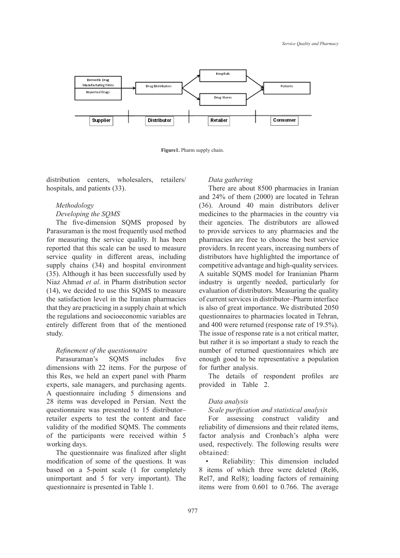

**Figure1.** Pharm supply chain.

distribution centers, wholesalers, retailers/ hospitals, and patients (33).

## *Methodology*

#### *Developing the SQMS*

The five-dimension SQMS proposed by Parasuraman is the most frequently used method for measuring the service quality. It has been reported that this scale can be used to measure service quality in different areas, including supply chains (34) and hospital environment (35). Although it has been successfully used by Niaz Ahmad *et al*. in Pharm distribution sector (14), we decided to use this SQMS to measure the satisfaction level in the Iranian pharmacies that they are practicing in a supply chain at which the regulations and socioeconomic variables are entirely different from that of the mentioned study.

### *Refinement of the questionnaire*

Parasuraman's SQMS includes five dimensions with 22 items. For the purpose of this Res, we held an expert panel with Pharm experts, sale managers, and purchasing agents. A questionnaire including 5 dimensions and 28 items was developed in Persian. Next the questionnaire was presented to 15 distributor– retailer experts to test the content and face validity of the modified SQMS. The comments of the participants were received within 5 working days.

The questionnaire was finalized after slight modification of some of the questions. It was based on a 5-point scale (1 for completely unimportant and 5 for very important). The questionnaire is presented in Table 1.

#### *Data gathering*

There are about 8500 pharmacies in Iranian and 24% of them (2000) are located in Tehran (36). Around 40 main distributors deliver medicines to the pharmacies in the country via their agencies. The distributors are allowed to provide services to any pharmacies and the pharmacies are free to choose the best service providers. In recent years, increasing numbers of distributors have highlighted the importance of competitive advantage and high-quality services. A suitable SQMS model for Iranianian Pharm industry is urgently needed, particularly for evaluation of distributors. Measuring the quality of current services in distributor–Pharm interface is also of great importance. We distributed 2050 questionnaires to pharmacies located in Tehran, and 400 were returned (response rate of 19.5%). The issue of response rate is a not critical matter, but rather it is so important a study to reach the number of returned questionnaires which are enough good to be representative a population for further analysis.

The details of respondent profiles are provided in Table 2.

#### *Data analysis*

## *Scale purification and statistical analysis*

For assessing construct validity and reliability of dimensions and their related items, factor analysis and Cronbach's alpha were used, respectively. The following results were obtained:

Reliability: This dimension included 8 items of which three were deleted (Rel6, Rel7, and Rel8); loading factors of remaining items were from 0.601 to 0.766. The average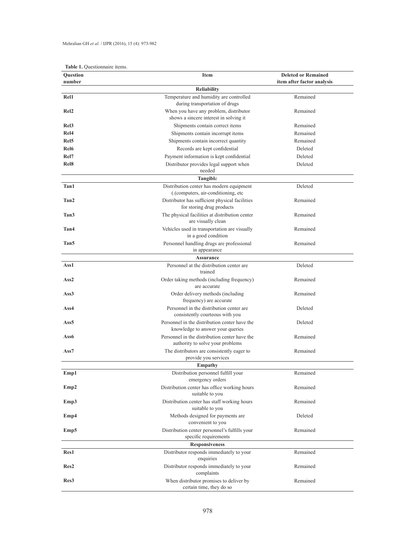|  | Table 1. Questionnaire items. |  |
|--|-------------------------------|--|
|  |                               |  |
|  |                               |  |
|  |                               |  |

| Question              | Item                                                                                         | <b>Deleted or Remained</b> |  |
|-----------------------|----------------------------------------------------------------------------------------------|----------------------------|--|
| number                |                                                                                              | item after factor analysis |  |
|                       | <b>Reliability</b>                                                                           |                            |  |
| Rel <sub>1</sub>      | Temperature and humidity are controlled<br>during transportation of drugs                    | Remained                   |  |
| Rel <sub>2</sub>      | When you have any problem, distributor<br>shows a sincere interest in solving it             | Remained                   |  |
| Rel <sub>3</sub>      | Shipments contain correct items                                                              | Remained                   |  |
| Rel <sub>4</sub>      | Shipments contain incorrupt items                                                            | Remained                   |  |
| Rel <sub>5</sub>      | Shipments contain incorrect quantity                                                         | Remained                   |  |
| Rel <sub>6</sub>      | Records are kept confidential                                                                | Deleted                    |  |
| Rel7                  | Payment information is kept confidential                                                     | Deleted                    |  |
| Rel <sub>8</sub>      | Distributor provides legal support when<br>needed                                            | Deleted                    |  |
|                       | Tangible                                                                                     |                            |  |
| Tan1                  | Distribution center has modern equipment<br>(.(computers, air-conditioning, etc              | Deleted                    |  |
| Tan2                  | Distributor has sufficient physical facilities<br>for storing drug products                  | Remained                   |  |
| Tan <sub>3</sub>      | The physical facilities at distribution center<br>are visually clean                         | Remained                   |  |
| Tan4                  | Vehicles used in transportation are visually<br>in a good condition                          | Remained                   |  |
| Tan5                  | Personnel handling drugs are professional<br>in appearance                                   | Remained                   |  |
|                       | <b>Assurance</b>                                                                             |                            |  |
| Ass1                  | Personnel at the distribution center are<br>trained                                          | Deleted                    |  |
| Ass <sub>2</sub>      | Order taking methods (including frequency)<br>are accurate                                   | Remained                   |  |
| Ass <sub>3</sub>      | Order delivery methods (including<br>frequency) are accurate                                 | Remained                   |  |
| Ass4                  | Personnel in the distribution center are<br>consistently courteous with you                  | Deleted                    |  |
| Ass <sub>5</sub>      | Personnel in the distribution center have the<br>Deleted<br>knowledge to answer your queries |                            |  |
| Ass6                  | Personnel in the distribution center have the<br>authority to solve your problems            | Remained                   |  |
| Ass7                  | The distributors are consistently eager to<br>provide you services                           | Remained                   |  |
| <b>Empathy</b>        |                                                                                              |                            |  |
| Emp1                  | Distribution personnel fulfill your<br>emergency orders                                      | Remained                   |  |
| Emp2                  | Distribution center has office working hours<br>suitable to you                              | Remained                   |  |
| Emp3                  | Distribution center has staff working hours<br>suitable to you                               | Remained                   |  |
| Emp4                  | Methods designed for payments are<br>Deleted<br>convenient to you                            |                            |  |
| Emp5                  | Distribution center personnel's fulfills your<br>specific requirements                       | Remained                   |  |
| <b>Responsiveness</b> |                                                                                              |                            |  |
| Res1                  | Distributor responds immediately to your<br>enquiries                                        | Remained                   |  |
| Res2                  | Distributor responds immediately to your<br>complaints                                       | Remained                   |  |
| Res <sub>3</sub>      | When distributor promises to deliver by<br>certain time, they do so                          | Remained                   |  |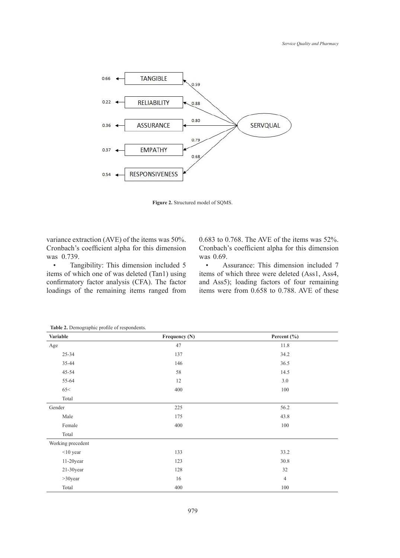

**Figure 2.** Structured model of SQMS.

variance extraction (AVE) of the items was 50%. Cronbach's coefficient alpha for this dimension was 0.739.

• Tangibility: This dimension included 5 items of which one of was deleted (Tan1) using confirmatory factor analysis (CFA). The factor loadings of the remaining items ranged from

0.683 to 0.768. The AVE of the items was 52%. Cronbach's coefficient alpha for this dimension was 0.69.

• Assurance: This dimension included 7 items of which three were deleted (Ass1, Ass4, and Ass5); loading factors of four remaining items were from 0.658 to 0.788. AVE of these

| Variable          | Frequency (N) | Percent (%)    |
|-------------------|---------------|----------------|
| Age               | 47            | 11.8           |
| $25 - 34$         | 137           | 34.2           |
| 35-44             | 146           | 36.5           |
| $45 - 54$         | 58            | 14.5           |
| 55-64             | 12            | 3.0            |
| 65<               | 400           | 100            |
| Total             |               |                |
| Gender            | 225           | 56.2           |
| Male              | 175           | 43.8           |
| Female            | 400           | 100            |
| Total             |               |                |
| Working precedent |               |                |
| $<$ 10 year       | 133           | 33.2           |
| $11-20$ year      | 123           | 30.8           |
| $21-30$ year      | 128           | 32             |
| $>30$ year        | 16            | $\overline{4}$ |
| Total             | 400           | $100\,$        |

**Table 2.** Demographic profile of respondents.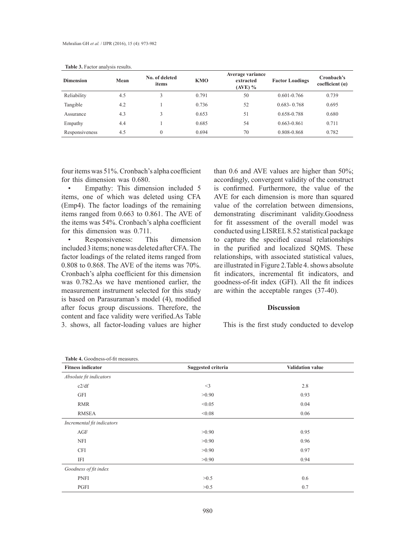| <b>Dimension</b> | Mean | No. of deleted<br>items | <b>KMO</b> | Average variance<br>extracted<br>$(AVE)$ % | <b>Factor Loadings</b> | Cronbach's<br>coefficient $(a)$ |
|------------------|------|-------------------------|------------|--------------------------------------------|------------------------|---------------------------------|
| Reliability      | 4.5  |                         | 0.791      | 50                                         | $0.601 - 0.766$        | 0.739                           |
| Tangible         | 4.2  |                         | 0.736      | 52                                         | $0.683 - 0.768$        | 0.695                           |
| Assurance        | 4.3  |                         | 0.653      | 51                                         | 0.658-0.788            | 0.680                           |
| Empathy          | 4.4  |                         | 0.685      | 54                                         | $0.663 - 0.861$        | 0.711                           |
| Responsiveness   | 4.5  | $\theta$                | 0.694      | 70                                         | 0.808-0.868            | 0.782                           |

**Table 3.** Factor analysis results.

four items was 51%. Cronbach's alpha coefficient for this dimension was 0.680.

• Empathy: This dimension included 5 items, one of which was deleted using CFA (Emp4). The factor loadings of the remaining items ranged from 0.663 to 0.861. The AVE of the items was 54%. Cronbach's alpha coefficient for this dimension was 0.711.

• Responsiveness: This dimension included 3 items; none was deleted after CFA. The factor loadings of the related items ranged from 0.808 to 0.868. The AVE of the items was 70%. Cronbach's alpha coefficient for this dimension was 0.782.As we have mentioned earlier, the measurement instrument selected for this study is based on Parasuraman's model (4), modified after focus group discussions. Therefore, the content and face validity were verified.As Table 3. shows, all factor-loading values are higher

than 0.6 and AVE values are higher than 50%; accordingly, convergent validity of the construct is confirmed. Furthermore, the value of the AVE for each dimension is more than squared value of the correlation between dimensions, demonstrating discriminant validity.Goodness for fit assessment of the overall model was conducted using LISREL 8.52 statistical package to capture the specified causal relationships in the purified and localized SQMS. These relationships, with associated statistical values, are illustrated in Figure 2.Table 4. shows absolute fit indicators, incremental fit indicators, and goodness-of-fit index (GFI). All the fit indices are within the acceptable ranges (37-40).

### **Discussion**

This is the first study conducted to develop

| Table 4. Goodness-of-fit measures. |                           |                         |
|------------------------------------|---------------------------|-------------------------|
| <b>Fitness indicator</b>           | <b>Suggested criteria</b> | <b>Validation value</b> |
| Absolute fit indicators            |                           |                         |
| c2/df                              | $<$ 3                     | 2.8                     |
| <b>GFI</b>                         | >0.90                     | 0.93                    |
| <b>RMR</b>                         | < 0.05                    | 0.04                    |
| <b>RMSEA</b>                       | < 0.08                    | 0.06                    |
| Incremental fit indicators         |                           |                         |
| AGF                                | >0.90                     | 0.95                    |
| <b>NFI</b>                         | >0.90                     | 0.96                    |
| <b>CFI</b>                         | >0.90                     | 0.97                    |
| IFI                                | >0.90                     | 0.94                    |
| Goodness of fit index              |                           |                         |
| <b>PNFI</b>                        | >0.5                      | 0.6                     |
| PGFI                               | >0.5                      | 0.7                     |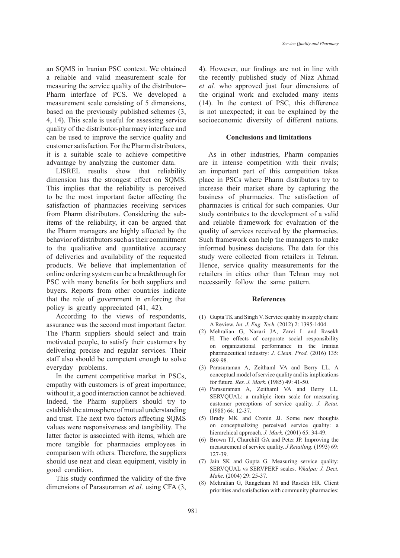an SQMS in Iranian PSC context. We obtained a reliable and valid measurement scale for measuring the service quality of the distributor– Pharm interface of PCS. We developed a measurement scale consisting of 5 dimensions, based on the previously published schemes (3, 4, 14). This scale is useful for assessing service quality of the distributor-pharmacy interface and can be used to improve the service quality and customer satisfaction. For the Pharm distributors, it is a suitable scale to achieve competitive advantage by analyzing the customer data.

LISREL results show that reliability dimension has the strongest effect on SQMS. This implies that the reliability is perceived to be the most important factor affecting the satisfaction of pharmacies receiving services from Pharm distributors. Considering the subitems of the reliability, it can be argued that the Pharm managers are highly affected by the behavior of distributors such as their commitment to the qualitative and quantitative accuracy of deliveries and availability of the requested products. We believe that implementation of online ordering system can be a breakthrough for PSC with many benefits for both suppliers and buyers. Reports from other countries indicate that the role of government in enforcing that policy is greatly appreciated (41, 42).

According to the views of respondents, assurance was the second most important factor. The Pharm suppliers should select and train motivated people, to satisfy their customers by delivering precise and regular services. Their staff also should be competent enough to solve everyday problems.

In the current competitive market in PSCs, empathy with customers is of great importance; without it, a good interaction cannot be achieved. Indeed, the Pharm suppliers should try to establish the atmosphere of mutual understanding and trust. The next two factors affecting SQMS values were responsiveness and tangibility. The latter factor is associated with items, which are more tangible for pharmacies employees in comparison with others. Therefore, the suppliers should use neat and clean equipment, visibly in good condition.

This study confirmed the validity of the five dimensions of Parasuraman *et al.* using CFA (3, 4). However, our findings are not in line with the recently published study of Niaz Ahmad *et al.* who approved just four dimensions of the original work and excluded many items (14). In the context of PSC, this difference is not unexpected; it can be explained by the socioeconomic diversity of different nations.

#### **Conclusions and limitations**

As in other industries, Pharm companies are in intense competition with their rivals; an important part of this competition takes place in PSCs where Pharm distributors try to increase their market share by capturing the business of pharmacies. The satisfaction of pharmacies is critical for such companies. Our study contributes to the development of a valid and reliable framework for evaluation of the quality of services received by the pharmacies. Such framework can help the managers to make informed business decisions. The data for this study were collected from retailers in Tehran. Hence, service quality measurements for the retailers in cities other than Tehran may not necessarily follow the same pattern.

#### **References**

- (1) Gupta TK and Singh V. Service quality in supply chain: A Review. *Int. J. Eng. Tech.* (2012) 2: 1395-1404.
- Mehralian G, Nazari JA, Zarei L and Rasekh (2) H. The effects of corporate social responsibility on organizational performance in the Iranian pharmaceutical industry: *J. Clean. Prod.* (2016) 135: 689-98.
- Parasuraman A, Zeithaml VA and Berry LL. A (3) conceptual model of service quality and its implications for future. *Res. J. Mark.* (1985) 49: 41-50.
- Parasuraman A, Zeithaml VA and Berry LL. (4) SERVQUAL: a multiple item scale for measuring customer perceptions of service quality. *J. Retai.*  (1988) 64: 12-37.
- Brady MK and Cronin JJ. Some new thoughts (5) on conceptualizing perceived service quality: a hierarchical approach. *J. Mark.* (2001) 65: 34-49.
- (6) Brown TJ, Churchill GA and Peter JP. Improving the measurement of service quality. *J Retailing.* (1993) 69: 127-39.
- (7) Jain SK and Gupta G. Measuring service quality: SERVQUAL vs SERVPERF scales. *Vikalpa: J. Deci. Make.* (2004) 29: 25-37.
- (8) Mehralian G, Rangchian M and Rasekh HR. Client priorities and satisfaction with community pharmacies: